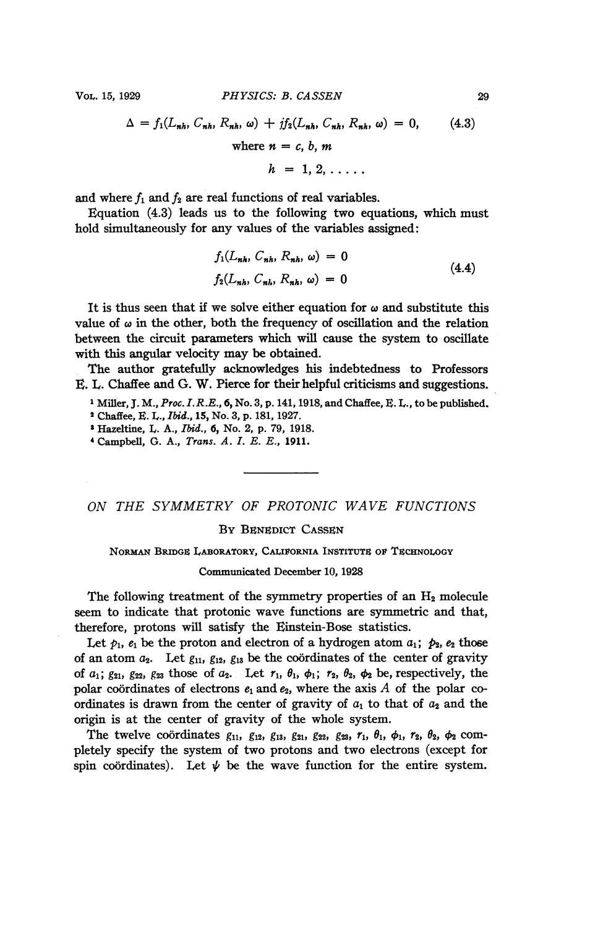$$
\Delta = f_1(L_{nh}, C_{nh}, R_{nh}, \omega) + j f_2(L_{nh}, C_{nh}, R_{nh}, \omega) = 0,
$$
 (4.3)  
where  $n = c, b, m$   

$$
h = 1, 2, \dots
$$

and where  $f_1$  and  $f_2$  are real functions of real variables.

Equation  $(4.3)$  leads us to the following two equations, which must hold simultaneously for any values of the variables assigned:

$$
f_1(L_{nh}, C_{nh}, R_{nh}, \omega) = 0
$$
  
\n
$$
f_2(L_{nh}, C_{nh}, R_{nh}, \omega) = 0
$$
\n(4.4)

It is thus seen that if we solve either equation for  $\omega$  and substitute this value of  $\omega$  in the other, both the frequency of oscillation and the relation between the circuit parameters which will cause the system to oscillate with this angular velocity may be obtained.

The author gratefully acknowledges his indebtedness to Professors E. L. Chaffee and G. W. Pierce for their helpful criticisms and suggestions.

<sup>1</sup> Miller, J. M., Proc. I.R.E., 6, No. 3, p. 141, 1918, and Chaffee, E. L., to be published.

<sup>2</sup> Chaffee, E. L., *Ibid.*, 15, No. 3, p. 181, 1927.

<sup>3</sup> Hazeltine, I,. A., Ibid., 6, No. 2, p. 79, 1918.

' Campbell, G. A., Trans. A. I. E. E., 1911.

ON THE SYMMETRY OF PROTONIC WAVE FUNCTIONS

BY BENEDICT CASSEN

NORMAN BRIDGE LABORATORY, CALIFORNIA INSTITUTE OF TECHNOLOGY

## Communicated December 10, 1928

The following treatment of the symmetry properties of an  $H_2$  molecule seem to indicate that protonic wave functions are symmetric and that, therefore, protons will satisfy the Einstein-Bose statistics.

Let  $p_1$ ,  $e_1$  be the proton and electron of a hydrogen atom  $a_1$ ;  $p_2$ ,  $e_2$  those of an atom  $a_2$ . Let  $g_{11}$ ,  $g_{12}$ ,  $g_{13}$  be the coordinates of the center of gravity of  $a_1$ ;  $g_{21}$ ,  $g_{22}$ ,  $g_{23}$  those of  $a_2$ . Let  $r_1$ ,  $\theta_1$ ,  $\phi_1$ ;  $r_2$ ,  $\theta_2$ ,  $\phi_2$  be, respectively, the polar coordinates of electrons  $e_1$  and  $e_2$ , where the axis A of the polar coordinates is drawn from the center of gravity of  $a_1$  to that of  $a_2$  and the origin is at the center of gravity of the whole system.

The twelve coordinates  $g_{11}$ ,  $g_{12}$ ,  $g_{13}$ ,  $g_{21}$ ,  $g_{22}$ ,  $g_{23}$ ,  $r_1$ ,  $\theta_1$ ,  $\phi_1$ ,  $r_2$ ,  $\theta_2$ ,  $\phi_2$  completely specify the system of two protons and two electrons (except for spin coordinates). Let  $\psi$  be the wave function for the entire system.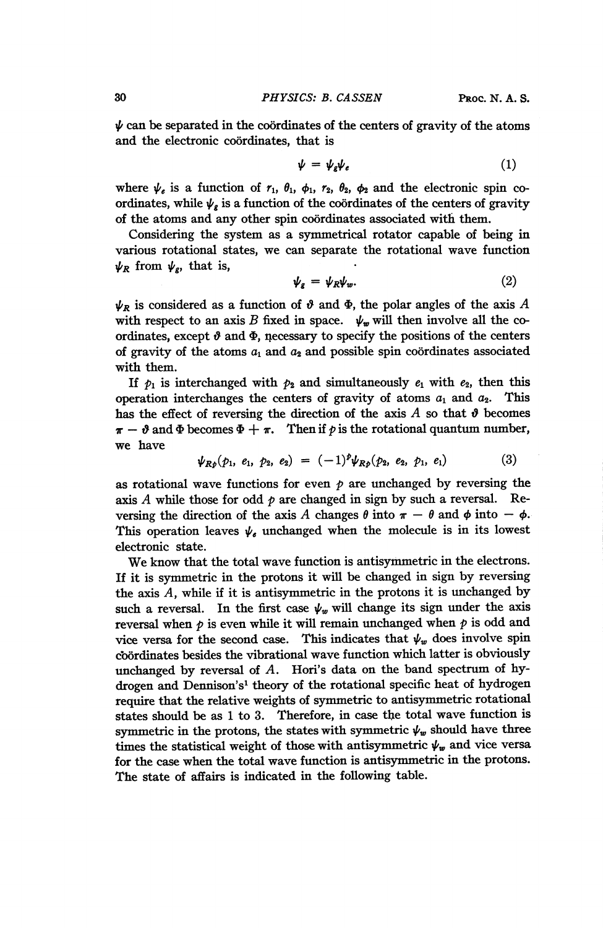$\psi$  can be separated in the coordinates of the centers of gravity of the atoms and the electronic coordinates, that is

$$
\psi = \psi_{\varepsilon} \psi_{\varepsilon} \tag{1}
$$

where  $\psi_e$  is a function of  $r_1$ ,  $\theta_1$ ,  $\phi_1$ ,  $r_2$ ,  $\theta_2$ ,  $\phi_2$  and the electronic spin coordinates, while  $\psi_g$  is a function of the coordinates of the centers of gravity of the atoms and any other spin coordinates associated with them.

Considering the system as a symmetrical rotator capable of being in various rotational states, we can separate the rotational wave function  $\psi_R$  from  $\psi_g$ , that is,

$$
\psi_g = \psi_R \psi_w. \tag{2}
$$

 $\psi_R$  is considered as a function of  $\vartheta$  and  $\Phi$ , the polar angles of the axis A with respect to an axis B fixed in space.  $\psi_w$  will then involve all the coordinates, except  $\vartheta$  and  $\Phi$ , necessary to specify the positions of the centers of gravity of the atoms  $a_1$  and  $a_2$  and possible spin coordinates associated with them.

If  $p_1$  is interchanged with  $p_2$  and simultaneously  $e_1$  with  $e_2$ , then this operation interchanges the centers of gravity of atoms  $a_1$  and  $a_2$ . This has the effect of reversing the direction of the axis A so that  $\theta$  becomes  $\pi - \vartheta$  and  $\Phi$  becomes  $\Phi + \pi$ . Then if p is the rotational quantum number, we have

$$
\psi_{Rp}(p_1, e_1, p_2, e_2) = (-1)^p \psi_{Rp}(p_2, e_2, p_1, e_1) \tag{3}
$$

as rotational wave functions for even  $\phi$  are unchanged by reversing the axis A while those for odd  $p$  are changed in sign by such a reversal. Reversing the direction of the axis A changes  $\theta$  into  $\pi - \theta$  and  $\phi$  into  $-\phi$ . This operation leaves  $\psi_{\epsilon}$  unchanged when the molecule is in its lowest electronic state.

We know that the total wave function is antisymmetric in the electrons. If it is symmetric in the protons it will be changed in sign by reversing the axis  $A$ , while if it is antisymmetric in the protons it is unchanged by such a reversal. In the first case  $\psi_w$  will change its sign under the axis reversal when  $p$  is even while it will remain unchanged when  $p$  is odd and vice versa for the second case. This indicates that  $\psi_w$  does involve spin coordinates besides the vibrational wave function which latter is obviously unchanged by reversal of A. Hori's data on the band spectrum of hydrogen and Dennison's' theory of the rotational specific heat of hydrogen require that the relative weights of symmetric to antisymmetric rotational states should be as <sup>1</sup> to 3. Therefore, in case the total wave function is symmetric in the protons, the states with symmetric  $\psi_w$  should have three times the statistical weight of those with antisymmetric  $\psi_w$  and vice versa for the case when the total wave function is antisymmetric in the protons. The state of affairs is indicated in the following table.